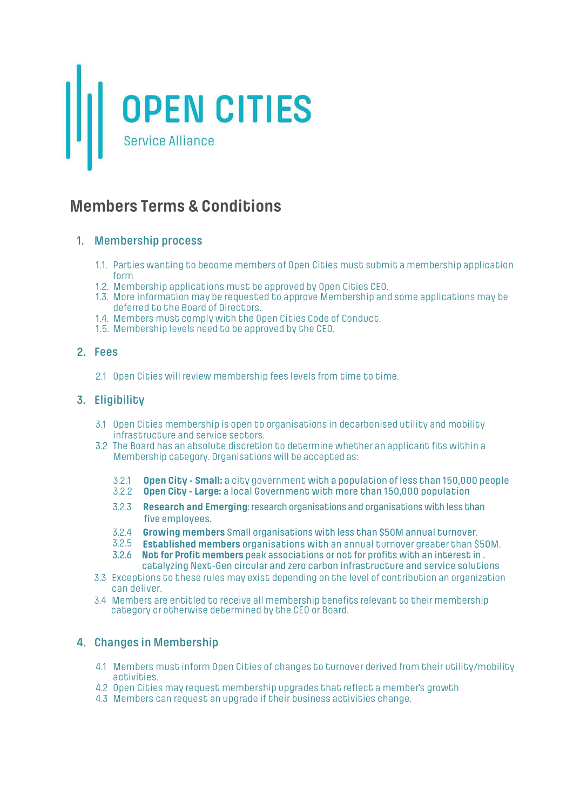

# **Members Terms & Conditions**

### **1. Membership process**

- 1.1. Parties wanting to become members of Open Cities must submit a membership application form<br>1.2. Membership applications must be approved by Open Cities CEO.
- 
- 1.3. More information may be requested to approve Membership and some applications may be deferred to the Board of Directors.
- 1.4. Members must comply with the Open Cities Code of Conduct.
- 1.5. Membership levels need to be approved by the CEO.

### **2. Fees**

2.1 Open Cities will review membership fees levels from time to time.

### **3. Eligibility**

- 3.1 Open Cities membership is open to organisations in decarbonised utility and mobility
- 3.2 The Board has an absolute discretion to determine whether an applicant fits within a Membership category. Organisations will be accepted as:
	- 3.2.1 **Open City Small:** a city government with a population of less than 150,000 people
	- 3.2.2 **Open City Large:** a local Government with more than 150,000 population
	- 3.2.3 **Research and Emerging**: research organisations and organisations with less than five employees.
	- 3.2.4 **Growing members** Small organisations with less than \$50M annual turnover.
	- 3.2.5 **Established members** organisations with an annual turnover greater than \$50M.
	- 3.2.6 **Not for Profit members** peak associations or not for profits with an interest in . catalyzing Next-Gen circular and zero carbon infrastructure and service solutions
- 3.3 Exceptions to these rules may exist depending on the level of contribution an organization can deliver.
- 3.4 Members are entitled to receive all membership benefits relevant to their membership category or otherwise determined by the CEO or Board.

### **4. Changes in Membership**

- 4.1 Members must inform Open Cities of changes to turnover derived from their utility/mobility activities.
- 4.2 Open Cities may request membership upgrades that reflect a member's growth
- 4.3 Members can request an upgrade if their business activities change.